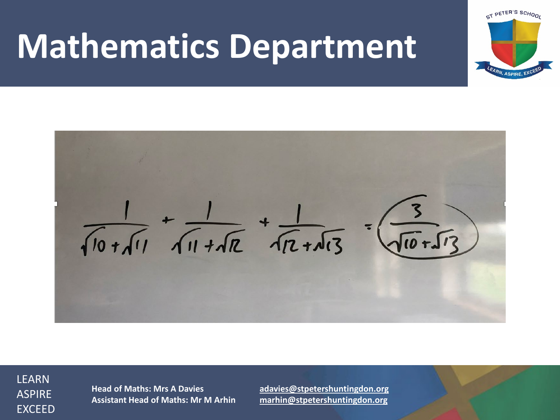# **Mathematics Department**

 $\frac{1}{\sqrt{10+11}} + \frac{1}{\sqrt{11+12}} + \frac{1}{\sqrt{12+13}} = \frac{3}{\sqrt{10+13}}$ 

LEARN ASPIRE EXCEED

**Head of Maths: Mrs A Davies [adavies@stpetershuntingdon.org](mailto:adavies@stpetershuntingdon.org) Assistant Head of Maths: Mr M Arhin [marhin@stpetershuntingdon.org](mailto:marhing@stpetershuntingdon.org)**

ST PETER'S SCHOOL

LEARN, ASPIRE, EXC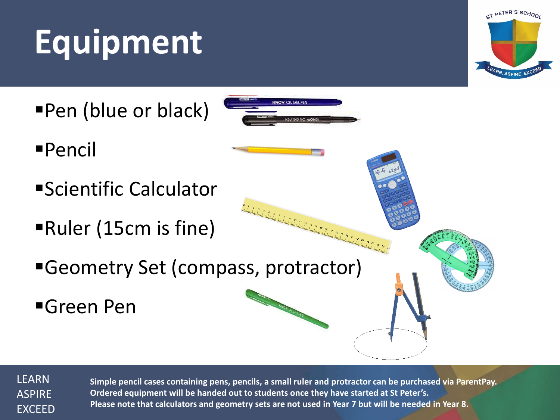# **Equipment**



■Pen (blue or black)



- Pencil
- Scientific Calculator
- Ruler (15cm is fine)
- Geometry Set (compass, protractor)
- **Green Pen**

LEARN ASPIRE EXCEED

**Simple pencil cases containing pens, pencils, a small ruler and protractor can be purchased via ParentPay. Ordered equipment will be handed out to students once they have started at St Peter's. Please note that calculators and geometry sets are not used in Year 7 but will be needed in Year 8.**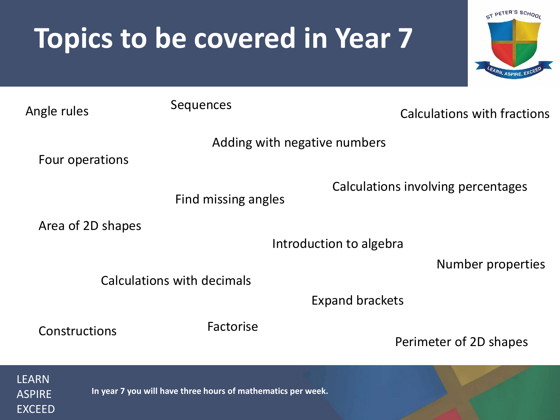#### **Topics to be covered in Year 7**



| Angle rules       | Sequences                    | Calculations with fractions        |
|-------------------|------------------------------|------------------------------------|
|                   | Adding with negative numbers |                                    |
| Four operations   |                              | Calculations involving percentages |
|                   | Find missing angles          |                                    |
| Area of 2D shapes |                              | Introduction to algebra            |
|                   | Calculations with decimals   | <b>Number properties</b>           |
|                   |                              | <b>Expand brackets</b>             |
| Constructions     | Factorise                    | Perimeter of 2D shapes             |
| <u>LEARN</u>      |                              |                                    |

**In year 7 you will have three hours of mathematics per week.**

ASPIRE **EXCEED**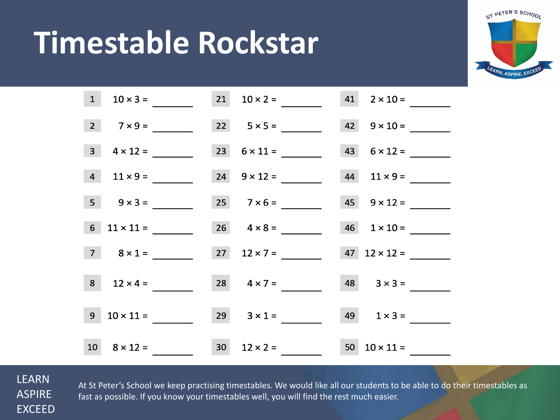## **Timestable Rockstar**



|                | $1 \t 10 \times 3 =$   | $21 \t 10 \times 2 =$ | $41 \t 2 \times 10 =$     |  |
|----------------|------------------------|-----------------------|---------------------------|--|
|                | $2 \t7 \times 9 =$     | 22 $5 \times 5 =$     | $42 \t 9 \times 10 =$     |  |
| 3 <sup>1</sup> | $4 \times 12 =$        | 23 $6 \times 11 =$    | $43 \t 6 \times 12 =$     |  |
|                | $4 \t11 \times 9 =$    | $24 \t 9 \times 12 =$ | $44$ $11 \times 9 =$      |  |
|                | $5 \t 9 \times 3 =$    | $25 \t 7 \times 6 =$  | $45 \t 9 \times 12 =$     |  |
|                | 6 $11 \times 11 =$     | $26 \t 4 \times 8 =$  | $46$ $1 \times 10 =$      |  |
|                | $7 \quad 8 \times 1 =$ | $27 \t 12 \times 7 =$ | $47 \quad 12 \times 12 =$ |  |
|                | $8 \t 12 \times 4 =$   | $28 \t 4 \times 7 =$  | $48$ $3 \times 3 =$       |  |
|                | $9 \t10 \times 11 =$   | $29 \t 3 \times 1 =$  | $49 \t 1 \times 3 =$      |  |
|                | $10 \t 8 \times 12 =$  | $30 \t 12 \times 2 =$ | $50 \t 10 \times 11 =$    |  |

LEARN ASPIRE EXCEED

At St Peter's School we keep practising timestables. We would like all our students to be able to do their timestables as fast as possible. If you know your timestables well, you will find the rest much easier.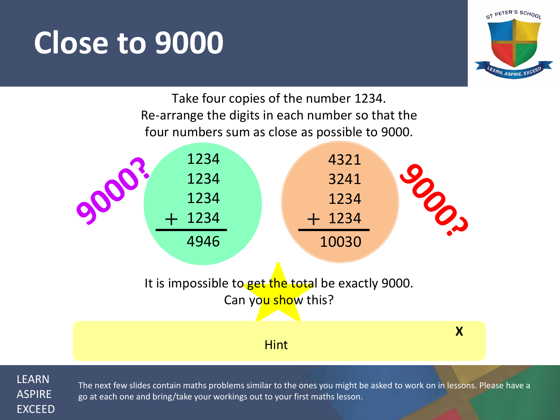### **Close to 9000**



Take four copies of the number 1234. Re-arrange the digits in each number so that the four numbers sum as close as possible to 9000.



LEARN ASPIRE EXCEED

The next few slides contain maths problems similar to the ones you might be asked to work on in lessons. Please have a go at each one and bring/take your workings out to your first maths lesson.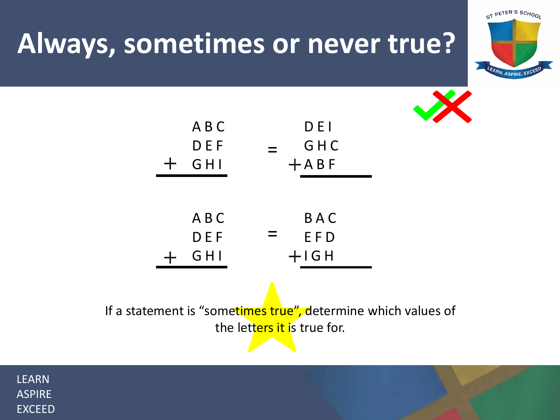#### **Always, sometimes or never true?**





| ABC   | DEI    |
|-------|--------|
| DEF   | GHC    |
| GHI   | $+ABF$ |
|       |        |
| A B C | BAC    |
| DEF   | EFD    |
| GHI   | $+IGH$ |

If a statement is "sometimes true", determine which values of the letters it is true for.

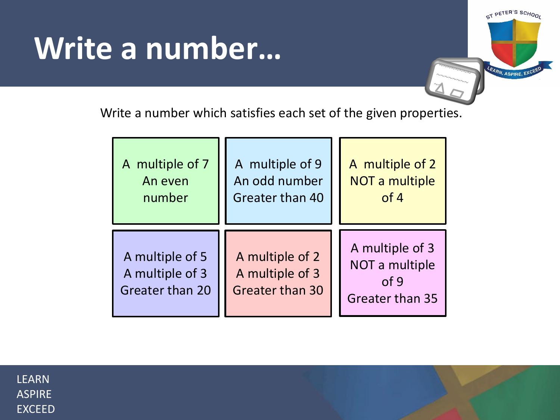## **Write a number…**



Write a number which satisfies each set of the given properties.

| A multiple of 7                                       | A multiple of 9                                              | A multiple of 2                                              |
|-------------------------------------------------------|--------------------------------------------------------------|--------------------------------------------------------------|
| An even                                               | An odd number                                                | NOT a multiple                                               |
| number                                                | Greater than 40                                              | of 4                                                         |
| A multiple of 5<br>A multiple of 3<br>Greater than 20 | A multiple of 2<br>A multiple of 3<br><b>Greater than 30</b> | A multiple of 3<br>NOT a multiple<br>of 9<br>Greater than 35 |

| I FARN        |
|---------------|
| ASPIRF        |
| <b>EXCEED</b> |